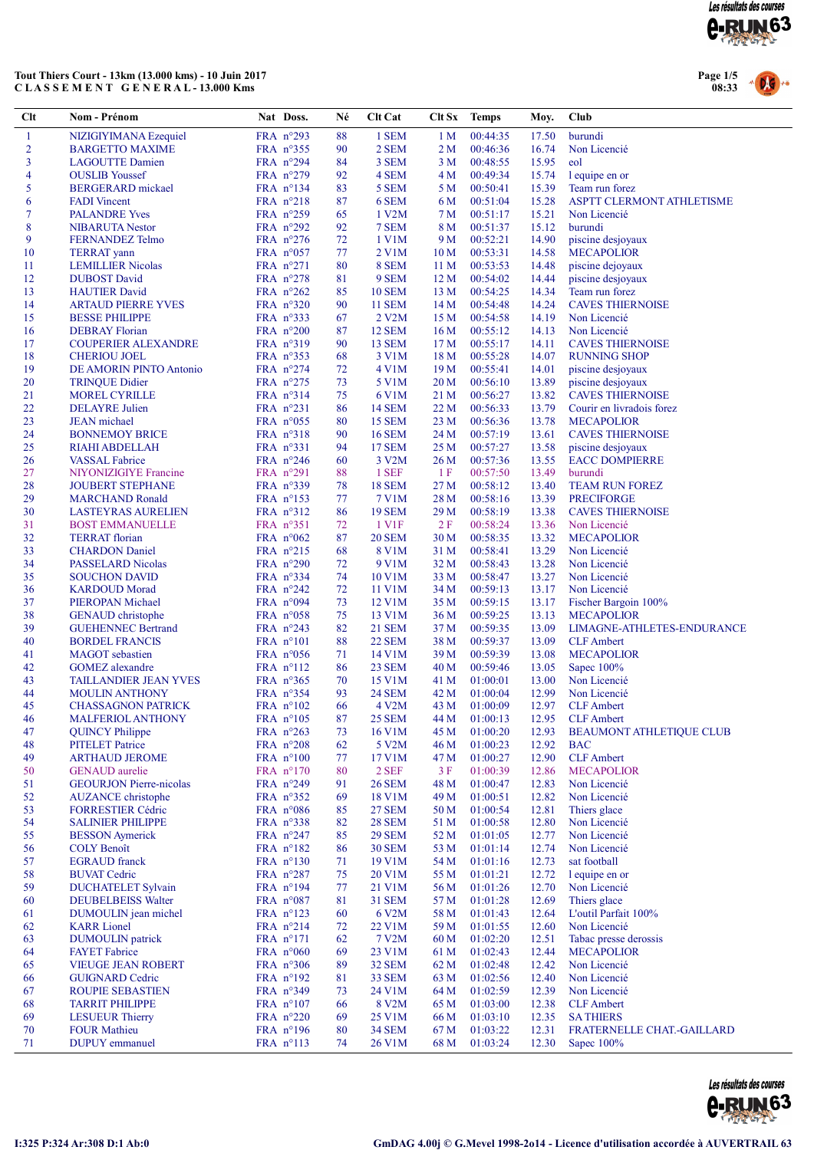

### Tout Thiers Court - 13km (13.000 kms) - 10 Juin 2017 C L A S S E M E N T G E N E R A L - 13.000 Kms



| Clt              | Nom - Prénom                                          | Nat Doss.                                | Né       | <b>Clt Cat</b>                 | Clt Sx                  | <b>Temps</b>         | Moy.           | Club                                   |
|------------------|-------------------------------------------------------|------------------------------------------|----------|--------------------------------|-------------------------|----------------------|----------------|----------------------------------------|
| $\mathbf{1}$     | NIZIGIYIMANA Ezequiel                                 | FRA n°293                                | 88       | 1 SEM                          | 1 M                     | 00:44:35             | 17.50          | burundi                                |
| $\overline{2}$   | <b>BARGETTO MAXIME</b>                                | FRA $n^{\circ}355$                       | 90       | 2 SEM                          | 2 <sub>M</sub>          | 00:46:36             | 16.74          | Non Licencié                           |
| 3                | <b>LAGOUTTE Damien</b>                                | FRA $n^{\circ}294$                       | 84       | 3 SEM                          | 3 <sub>M</sub>          | 00:48:55             | 15.95          | eol                                    |
| 4                | <b>OUSLIB</b> Youssef                                 | FRA $n^{\circ}279$                       | 92       | 4 SEM                          | 4 M                     | 00:49:34             | 15.74          | l equipe en or                         |
| 5                | <b>BERGERARD</b> mickael                              | FRA nº134                                | 83       | 5 SEM                          | 5 M                     | 00:50:41             | 15.39          | Team run forez                         |
| 6<br>$\tau$      | <b>FADI</b> Vincent                                   | FRA $n^{\circ}218$                       | 87<br>65 | 6 SEM<br>1 V2M                 | 6 M                     | 00:51:04             | 15.28          | ASPTT CLERMONT ATHLETISME              |
| $\boldsymbol{8}$ | <b>PALANDRE Yves</b><br><b>NIBARUTA Nestor</b>        | FRA $n^{\circ}259$<br>FRA $n^{\circ}292$ | 92       | 7 SEM                          | 7 M<br>8 M              | 00:51:17<br>00:51:37 | 15.21<br>15.12 | Non Licencié<br>burundi                |
| 9                | <b>FERNANDEZ Telmo</b>                                | FRA $n^{\circ}276$                       | 72       | 1 V1M                          | 9 M                     | 00:52:21             | 14.90          | piscine desjoyaux                      |
| 10               | <b>TERRAT</b> yann                                    | FRA $n^{\circ}057$                       | 77       | 2 V1M                          | 10 <sub>M</sub>         | 00:53:31             | 14.58          | <b>MECAPOLIOR</b>                      |
| 11               | <b>LEMILLIER Nicolas</b>                              | FRA $n^{\circ}271$                       | 80       | 8 SEM                          | 11 <sub>M</sub>         | 00:53:53             | 14.48          | piscine dejoyaux                       |
| 12               | <b>DUBOST</b> David                                   | FRA $n^{\circ}278$                       | 81       | 9 SEM                          | 12 <sub>M</sub>         | 00:54:02             | 14.44          | piscine desjoyaux                      |
| 13               | <b>HAUTIER David</b>                                  | FRA $n^{\circ}262$                       | 85       | <b>10 SEM</b>                  | 13 M                    | 00:54:25             | 14.34          | Team run forez                         |
| 14               | <b>ARTAUD PIERRE YVES</b>                             | FRA $n^{\circ}320$                       | 90       | <b>11 SEM</b>                  | 14 M                    | 00:54:48             | 14.24          | <b>CAVES THIERNOISE</b>                |
| 15               | <b>BESSE PHILIPPE</b>                                 | FRA $n^{\circ}333$                       | 67       | 2 V2M                          | 15 M                    | 00:54:58             | 14.19          | Non Licencié                           |
| 16               | <b>DEBRAY</b> Florian                                 | FRA $n^{\circ}200$                       | 87       | <b>12 SEM</b>                  | 16 <sub>M</sub>         | 00:55:12             | 14.13          | Non Licencié                           |
| 17               | <b>COUPERIER ALEXANDRE</b>                            | FRA n°319                                | 90       | <b>13 SEM</b>                  | 17 <sub>M</sub>         | 00:55:17             | 14.11          | <b>CAVES THIERNOISE</b>                |
| 18<br>19         | <b>CHERIOU JOEL</b>                                   | FRA $n^{\circ}353$                       | 68       | 3 V1M<br>4 V1M                 | 18 M<br>19 <sub>M</sub> | 00:55:28             | 14.07          | <b>RUNNING SHOP</b>                    |
| 20               | DE AMORIN PINTO Antonio<br><b>TRINQUE Didier</b>      | FRA $n^{\circ}274$<br>FRA nº275          | 72<br>73 | 5 V1M                          | 20 M                    | 00:55:41<br>00:56:10 | 14.01<br>13.89 | piscine desjoyaux<br>piscine desjoyaux |
| 21               | <b>MOREL CYRILLE</b>                                  | FRA $n^{\circ}314$                       | 75       | 6 V1M                          | 21 M                    | 00:56:27             | 13.82          | <b>CAVES THIERNOISE</b>                |
| 22               | <b>DELAYRE</b> Julien                                 | FRA $n^{\circ}231$                       | 86       | 14 SEM                         | 22 M                    | 00:56:33             | 13.79          | Courir en livradois forez              |
| 23               | <b>JEAN</b> michael                                   | FRA $n^{\circ}055$                       | 80       | 15 SEM                         | 23 M                    | 00:56:36             | 13.78          | <b>MECAPOLIOR</b>                      |
| 24               | <b>BONNEMOY BRICE</b>                                 | FRA $n^{\circ}318$                       | 90       | <b>16 SEM</b>                  | 24 M                    | 00:57:19             | 13.61          | <b>CAVES THIERNOISE</b>                |
| 25               | <b>RIAHI ABDELLAH</b>                                 | FRA $n^{\circ}331$                       | 94       | <b>17 SEM</b>                  | 25 M                    | 00:57:27             | 13.58          | piscine desjoyaux                      |
| 26               | <b>VASSAL Fabrice</b>                                 | FRA $n^{\circ}246$                       | 60       | 3 V2M                          | 26 M                    | 00:57:36             | 13.55          | <b>EACC DOMPIERRE</b>                  |
| 27               | NIYONIZIGIYE Francine                                 | FRA $n^{\circ}291$                       | 88       | 1 SEF                          | 1F                      | 00:57:50             | 13.49          | burundi                                |
| 28               | <b>JOUBERT STEPHANE</b>                               | FRA $n^{\circ}339$                       | 78       | <b>18 SEM</b>                  | 27 M                    | 00:58:12             | 13.40          | TEAM RUN FOREZ                         |
| 29               | <b>MARCHAND Ronald</b>                                | FRA nº153                                | 77       | 7 V1M                          | 28 M                    | 00:58:16             | 13.39          | <b>PRECIFORGE</b>                      |
| 30               | <b>LASTEYRAS AURELIEN</b>                             | FRA $n^{\circ}312$                       | 86       | <b>19 SEM</b>                  | 29 M                    | 00:58:19             | 13.38          | <b>CAVES THIERNOISE</b>                |
| 31<br>32         | <b>BOST EMMANUELLE</b><br><b>TERRAT</b> florian       | FRA $n^{\circ}351$<br>FRA $n^{\circ}062$ | 72<br>87 | 1 V1F<br><b>20 SEM</b>         | 2F<br>30 M              | 00:58:24<br>00:58:35 | 13.36<br>13.32 | Non Licencié<br><b>MECAPOLIOR</b>      |
| 33               | <b>CHARDON</b> Daniel                                 | FRA $n^{\circ}215$                       | 68       | 8 V1M                          | 31 M                    | 00:58:41             | 13.29          | Non Licencié                           |
| 34               | PASSELARD Nicolas                                     | FRA $n^{\circ}290$                       | 72       | 9 V1M                          | 32 M                    | 00:58:43             | 13.28          | Non Licencié                           |
| 35               | <b>SOUCHON DAVID</b>                                  | FRA $n^{\circ}334$                       | 74       | 10 V1M                         | 33 M                    | 00:58:47             | 13.27          | Non Licencié                           |
| 36               | <b>KARDOUD</b> Morad                                  | FRA $n^{\circ}242$                       | 72       | 11 V1M                         | 34 M                    | 00:59:13             | 13.17          | Non Licencié                           |
| 37               | PIEROPAN Michael                                      | FRA $n^{\circ}094$                       | 73       | 12 V1M                         | 35 M                    | 00:59:15             | 13.17          | Fischer Bargoin 100%                   |
| 38               | <b>GENAUD</b> christophe                              | FRA $n^{\circ}058$                       | 75       | 13 V1M                         | 36 M                    | 00:59:25             | 13.13          | <b>MECAPOLIOR</b>                      |
| 39               | <b>GUEHENNEC Bertrand</b>                             | FRA $n^{\circ}243$                       | 82       | <b>21 SEM</b>                  | 37 M                    | 00:59:35             | 13.09          | LIMAGNE-ATHLETES-ENDURANCE             |
| 40               | <b>BORDEL FRANCIS</b>                                 | $FRA$ $n^{\circ}101$                     | 88       | <b>22 SEM</b>                  | 38 M                    | 00:59:37             | 13.09          | <b>CLF</b> Ambert                      |
| 41               | <b>MAGOT</b> sebastien                                | FRA $n^{\circ}056$                       | 71       | 14 V1M                         | 39 M                    | 00:59:39             | 13.08          | <b>MECAPOLIOR</b>                      |
| 42<br>43         | <b>GOMEZ</b> alexandre                                | FRA $n^{\circ}112$                       | 86       | <b>23 SEM</b>                  | 40 M                    | 00:59:46             | 13.05          | Sapec 100%<br>Non Licencié             |
| 44               | <b>TAILLANDIER JEAN YVES</b><br><b>MOULIN ANTHONY</b> | FRA $n^{\circ}365$<br>FRA $n^{\circ}354$ | 70<br>93 | 15 V1M<br><b>24 SEM</b>        | 41 M<br>42 M            | 01:00:01<br>01:00:04 | 13.00<br>12.99 | Non Licencié                           |
| 45               | <b>CHASSAGNON PATRICK</b>                             | FRA $n^{\circ}102$                       | 66       | 4 V <sub>2</sub> M             | 43 M                    | 01:00:09             | 12.97          | <b>CLF</b> Ambert                      |
| 46               | MALFERIOL ANTHONY                                     | FRA $n^{\circ}105$                       | 87       | <b>25 SEM</b>                  | 44 M                    | 01:00:13             |                | 12.95 CLF Ambert                       |
| 47               | <b>QUINCY Philippe</b>                                | FRA $n^{\circ}263$                       | 73       | 16 V1M                         | 45 M                    | 01:00:20             | 12.93          | <b>BEAUMONT ATHLETIQUE CLUB</b>        |
| 48               | <b>PITELET</b> Patrice                                | FRA $n^{\circ}208$                       | 62       | 5 V2M                          | 46 M                    | 01:00:23             | 12.92          | <b>BAC</b>                             |
| 49               | <b>ARTHAUD JEROME</b>                                 | FRA $n^{\circ}100$                       | 77       | 17 V1M                         | 47 M                    | 01:00:27             | 12.90          | <b>CLF</b> Ambert                      |
| 50               | <b>GENAUD</b> aurelie                                 | FRA $n^{\circ}170$                       | 80       | 2 SEF                          | 3F                      | 01:00:39             | 12.86          | <b>MECAPOLIOR</b>                      |
| 51               | <b>GEOURJON Pierre-nicolas</b>                        | FRA $n^{\circ}249$                       | 91       | <b>26 SEM</b>                  | 48 M                    | 01:00:47             | 12.83          | Non Licencié                           |
| 52               | <b>AUZANCE</b> christophe                             | FRA $n^{\circ}352$                       | 69       | 18 V1M                         | 49 M                    | 01:00:51             | 12.82          | Non Licencié                           |
| 53               | <b>FORRESTIER Cédric</b>                              | FRA n°086                                | 85       | <b>27 SEM</b>                  | 50 M                    | 01:00:54             | 12.81          | Thiers glace                           |
| 54<br>55         | <b>SALINIER PHILIPPE</b><br><b>BESSON</b> Aymerick    | FRA nº338<br>FRA $n^{\circ}247$          | 82<br>85 | <b>28 SEM</b><br><b>29 SEM</b> | 51 M<br>52 M            | 01:00:58<br>01:01:05 | 12.80<br>12.77 | Non Licencié<br>Non Licencié           |
| 56               | <b>COLY Benoît</b>                                    | FRA $n^{\circ}182$                       | 86       | <b>30 SEM</b>                  | 53 M                    | 01:01:14             | 12.74          | Non Licencié                           |
| 57               | <b>EGRAUD</b> franck                                  | FRA n°130                                | 71       | 19 V1M                         | 54 M                    | 01:01:16             | 12.73          | sat football                           |
| 58               | <b>BUVAT Cedric</b>                                   | FRA $n^{\circ}287$                       | 75       | 20 V1M                         | 55 M                    | 01:01:21             | 12.72          | l equipe en or                         |
| 59               | <b>DUCHATELET Sylvain</b>                             | FRA n°194                                | 77       | 21 V1M                         | 56 M                    | 01:01:26             | 12.70          | Non Licencié                           |
| 60               | <b>DEUBELBEISS Walter</b>                             | FRA n°087                                | 81       | <b>31 SEM</b>                  | 57 M                    | 01:01:28             | 12.69          | Thiers glace                           |
| 61               | DUMOULIN jean michel                                  | FRA $n^{\circ}123$                       | 60       | 6 V2M                          | 58 M                    | 01:01:43             | 12.64          | L'outil Parfait 100%                   |
| 62               | <b>KARR</b> Lionel                                    | $FRA$ n°214                              | 72       | 22 V1M                         | 59 M                    | 01:01:55             | 12.60          | Non Licencié                           |
| 63               | <b>DUMOULIN</b> patrick                               | $FRA$ n°171                              | 62       | 7 V2M                          | 60 M                    | 01:02:20             | 12.51          | Tabac presse derossis                  |
| 64               | <b>FAYET</b> Fabrice                                  | FRA $n^{\circ}060$                       | 69       | 23 V1M                         | 61 M                    | 01:02:43             | 12.44          | <b>MECAPOLIOR</b>                      |
| 65               | <b>VIEUGE JEAN ROBERT</b>                             | FRA n°306                                | 89       | <b>32 SEM</b>                  | 62 M                    | 01:02:48             | 12.42          | Non Licencié                           |
| 66<br>67         | <b>GUIGNARD Cedric</b><br>ROUPIE SEBASTIEN            | FRA $n^{\circ}192$<br>FRA nº349          | 81<br>73 | <b>33 SEM</b><br>24 V1M        | 63 M<br>64 M            | 01:02:56<br>01:02:59 | 12.40<br>12.39 | Non Licencié<br>Non Licencié           |
| 68               | <b>TARRIT PHILIPPE</b>                                | FRA $n^{\circ}107$                       | 66       | 8 V2M                          | 65 M                    | 01:03:00             | 12.38          | <b>CLF</b> Ambert                      |
| 69               | <b>LESUEUR Thierry</b>                                | FRA $n^{\circ}220$                       | 69       | 25 V1M                         | 66 M                    | 01:03:10             | 12.35          | <b>SATHIERS</b>                        |
| 70               | <b>FOUR Mathieu</b>                                   | FRA n°196                                | 80       | <b>34 SEM</b>                  | 67 M                    | 01:03:22             | 12.31          | FRATERNELLE CHAT.-GAILLARD             |
| 71               | <b>DUPUY</b> emmanuel                                 | FRA n°113                                | 74       | 26 V1M                         | 68 M                    | 01:03:24             | 12.30          | Sapec $100\%$                          |

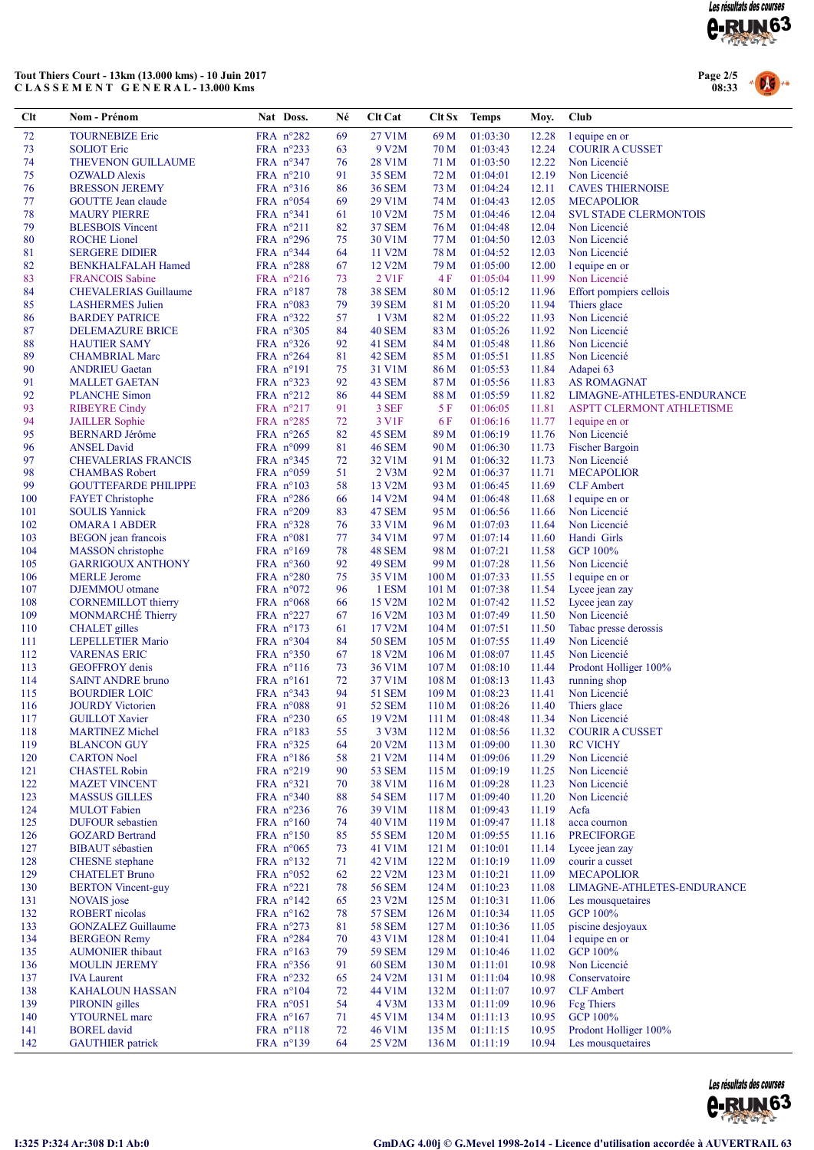

### Tout Thiers Court - 13km (13.000 kms) - 10 Juin 2017 C L A S S E M E N T G E N E R A L - 13.000 Kms



| Clt        | Nom - Prénom                                       | Nat Doss.                        | Né       | Clt Cat                       | Clt Sx           | <b>Temps</b>               | Moy.           | Club                                        |
|------------|----------------------------------------------------|----------------------------------|----------|-------------------------------|------------------|----------------------------|----------------|---------------------------------------------|
| 72         | <b>TOURNEBIZE Eric</b>                             | FRA n°282                        | 69       | 27 V1M                        | 69 M             | 01:03:30                   | 12.28          | l equipe en or                              |
| 73         | <b>SOLIOT</b> Eric                                 | FRA $n^{\circ}233$               | 63       | 9 V2M                         | 70 M             | 01:03:43                   | 12.24          | <b>COURIR A CUSSET</b>                      |
| 74         | THEVENON GUILLAUME                                 | FRA nº347                        | 76       | 28 V1M                        | 71 M             | 01:03:50                   | 12.22          | Non Licencié                                |
| 75         | <b>OZWALD</b> Alexis                               | FRA $n^{\circ}210$               | 91       | <b>35 SEM</b>                 | 72 M             | 01:04:01                   | 12.19          | Non Licencié                                |
| 76         | <b>BRESSON JEREMY</b>                              | FRA nº316                        | 86       | <b>36 SEM</b>                 | 73 M             | 01:04:24                   | 12.11          | <b>CAVES THIERNOISE</b>                     |
| 77         | <b>GOUTTE Jean claude</b>                          | FRA $n^{\circ}054$               | 69       | 29 V1M                        | 74 M             | 01:04:43                   | 12.05          | <b>MECAPOLIOR</b>                           |
| 78         | <b>MAURY PIERRE</b>                                | FRA $n^{\circ}341$               | 61       | 10 V2M                        | 75 M             | 01:04:46                   | 12.04          | <b>SVL STADE CLERMONTOIS</b>                |
| 79         | <b>BLESBOIS Vincent</b>                            | FRA $n^{\circ}211$               | 82       | <b>37 SEM</b>                 | 76 M             | 01:04:48                   | 12.04          | Non Licencié                                |
| 80         | <b>ROCHE</b> Lionel                                | FRA n°296                        | 75       | 30 V1M                        | 77 M             | 01:04:50                   | 12.03          | Non Licencié                                |
| 81<br>82   | <b>SERGERE DIDIER</b><br><b>BENKHALFALAH Hamed</b> | FRA n°344<br>FRA $n^{\circ}288$  | 64<br>67 | 11 V2M<br>12 V <sub>2</sub> M | 78 M<br>79 M     | 01:04:52<br>01:05:00       | 12.03<br>12.00 | Non Licencié<br>l equipe en or              |
| 83         | <b>FRANCOIS</b> Sabine                             | FRA n°216                        | 73       | 2 V1F                         | 4F               | 01:05:04                   | 11.99          | Non Licencié                                |
| 84         | <b>CHEVALERIAS Guillaume</b>                       | FRA $n^{\circ}187$               | 78       | <b>38 SEM</b>                 | 80 M             | 01:05:12                   | 11.96          | Effort pompiers cellois                     |
| 85         | <b>LASHERMES</b> Julien                            | FRA $n^{\circ}083$               | 79       | <b>39 SEM</b>                 | 81 M             | 01:05:20                   | 11.94          | Thiers glace                                |
| 86         | <b>BARDEY PATRICE</b>                              | FRA n°322                        | 57       | 1 V3M                         | 82 M             | 01:05:22                   | 11.93          | Non Licencié                                |
| 87         | <b>DELEMAZURE BRICE</b>                            | FRA n°305                        | 84       | 40 SEM                        | 83 M             | 01:05:26                   | 11.92          | Non Licencié                                |
| 88         | <b>HAUTIER SAMY</b>                                | FRA $n^{\circ}326$               | 92       | 41 SEM                        | 84 M             | 01:05:48                   | 11.86          | Non Licencié                                |
| 89         | <b>CHAMBRIAL Marc</b>                              | FRA $n^{\circ}264$               | 81       | 42 SEM                        | 85 M             | 01:05:51                   | 11.85          | Non Licencié                                |
| 90         | <b>ANDRIEU Gaetan</b>                              | $FRA$ n°191                      | 75       | 31 V1M                        | 86 M             | 01:05:53                   | 11.84          | Adapei 63                                   |
| 91         | <b>MALLET GAETAN</b>                               | FRA $n^{\circ}323$               | 92       | 43 SEM                        | 87 M             | 01:05:56                   | 11.83          | <b>AS ROMAGNAT</b>                          |
| 92<br>93   | <b>PLANCHE</b> Simon                               | FRA n°212<br>FRA n°217           | 86       | 44 SEM<br>3 SEF               | 88 M             | 01:05:59                   | 11.82<br>11.81 | LIMAGNE-ATHLETES-ENDURANCE                  |
| 94         | <b>RIBEYRE Cindy</b><br><b>JAILLER</b> Sophie      | FRA n°285                        | 91<br>72 | 3 V1F                         | 5 F<br>6 F       | 01:06:05<br>01:06:16       | 11.77          | ASPTT CLERMONT ATHLETISME<br>l equipe en or |
| 95         | <b>BERNARD</b> Jérôme                              | FRA $n^{\circ}265$               | 82       | 45 SEM                        | 89 M             | 01:06:19                   | 11.76          | Non Licencié                                |
| 96         | <b>ANSEL David</b>                                 | FRA n°099                        | 81       | 46 SEM                        | 90 M             | 01:06:30                   | 11.73          | <b>Fischer Bargoin</b>                      |
| 97         | <b>CHEVALERIAS FRANCIS</b>                         | FRA $n^{\circ}345$               | 72       | 32 V1M                        | 91 M             | 01:06:32                   | 11.73          | Non Licencié                                |
| 98         | <b>CHAMBAS Robert</b>                              | FRA $n^{\circ}059$               | 51       | 2 V3M                         | 92 M             | 01:06:37                   | 11.71          | <b>MECAPOLIOR</b>                           |
| 99         | <b>GOUTTEFARDE PHILIPPE</b>                        | FRA n°103                        | 58       | 13 V2M                        | 93 M             | 01:06:45                   | 11.69          | <b>CLF</b> Ambert                           |
| 100        | <b>FAYET</b> Christophe                            | FRA $n^{\circ}286$               | 66       | 14 V2M                        | 94 M             | 01:06:48                   | 11.68          | l equipe en or                              |
| 101        | <b>SOULIS Yannick</b>                              | FRA $n^{\circ}209$               | 83       | 47 SEM                        | 95 M             | 01:06:56                   | 11.66          | Non Licencié                                |
| 102        | <b>OMARA 1 ABDER</b>                               | FRA $n^{\circ}328$               | 76       | 33 V1M                        | 96 M             | 01:07:03                   | 11.64          | Non Licencié                                |
| 103        | <b>BEGON</b> jean francois                         | FRA $n^{\circ}081$               | 77       | 34 V1M                        | 97 M             | 01:07:14                   | 11.60          | Handi Girls                                 |
| 104        | MASSON christophe                                  | FRA $n^{\circ}169$               | 78       | 48 SEM                        | 98 M             | 01:07:21                   | 11.58          | <b>GCP 100%</b>                             |
| 105<br>106 | <b>GARRIGOUX ANTHONY</b><br><b>MERLE</b> Jerome    | FRA n°360<br>FRA $n^{\circ}280$  | 92<br>75 | 49 SEM<br>35 V1M              | 99 M<br>100 M    | 01:07:28<br>01:07:33       | 11.56<br>11.55 | Non Licencié<br>l equipe en or              |
| 107        | <b>DJEMMOU</b> otmane                              | FRA $n^{\circ}072$               | 96       | 1 ESM                         | 101 <sub>M</sub> | 01:07:38                   | 11.54          | Lycee jean zay                              |
| 108        | <b>CORNEMILLOT</b> thierry                         | FRA $n^{\circ}068$               | 66       | 15 V2M                        | 102 <sub>M</sub> | 01:07:42                   | 11.52          | Lycee jean zay                              |
| 109        | <b>MONMARCHE</b> Thierry                           | FRA $n^{\circ}227$               | 67       | 16 V <sub>2</sub> M           | 103 <sub>M</sub> | 01:07:49                   | 11.50          | Non Licencié                                |
| 110        | <b>CHALET</b> gilles                               | FRA $n^{\circ}173$               | 61       | 17 V2M                        | 104 M            | 01:07:51                   | 11.50          | Tabac presse derossis                       |
| 111        | <b>LEPELLETIER Mario</b>                           | FRA n°304                        | 84       | <b>50 SEM</b>                 | 105 <sub>M</sub> | 01:07:55                   | 11.49          | Non Licencié                                |
| 112        | <b>VARENAS ERIC</b>                                | FRA n°350                        | 67       | 18 V2M                        | 106 <sub>M</sub> | 01:08:07                   | 11.45          | Non Licencié                                |
| 113        | <b>GEOFFROY</b> denis                              | FRA $n^{\circ}116$               | 73       | 36 V1M                        | 107 <sub>M</sub> | 01:08:10                   | 11.44          | Prodont Holliger 100%                       |
| 114        | <b>SAINT ANDRE bruno</b>                           | FRA nº161                        | 72       | 37 V1M                        | 108 <sub>M</sub> | 01:08:13                   | 11.43          | running shop                                |
| 115        | <b>BOURDIER LOIC</b>                               | FRA nº343                        | 94       | <b>51 SEM</b>                 | 109 <sub>M</sub> | 01:08:23                   | 11.41          | Non Licencié                                |
| 116<br>117 | <b>JOURDY</b> Victorien<br><b>GUILLOT Xavier</b>   | FRA n°088<br>FRA n°230           | 91<br>65 | <b>52 SEM</b><br>19 V2M       | 110 M            | 01:08:26<br>111 M 01:08:48 | 11.40          | Thiers glace<br>11.34 Non Licencié          |
| 118        | <b>MARTINEZ Michel</b>                             | FRA $n^{\circ}183$               | 55       | 3 <sub>V3M</sub>              | 112M             | 01:08:56                   | 11.32          | <b>COURIR A CUSSET</b>                      |
| 119        | <b>BLANCON GUY</b>                                 | FRA $n^{\circ}325$               | 64       | 20 V <sub>2</sub> M           | 113 M            | 01:09:00                   | 11.30          | <b>RC VICHY</b>                             |
| 120        | <b>CARTON Noel</b>                                 | FRA $n^{\circ}186$               | 58       | 21 V2M                        | 114M             | 01:09:06                   | 11.29          | Non Licencié                                |
| 121        | <b>CHASTEL Robin</b>                               | FRA $n^{\circ}219$               | 90       | <b>53 SEM</b>                 | 115M             | 01:09:19                   | 11.25          | Non Licencié                                |
| 122        | <b>MAZET VINCENT</b>                               | $FRA$ n°321                      | 70       | 38 V1M                        | 116M             | 01:09:28                   | 11.23          | Non Licencié                                |
| 123        | <b>MASSUS GILLES</b>                               | FRA $n^{\circ}340$               | 88       | <b>54 SEM</b>                 | 117 <sub>M</sub> | 01:09:40                   | 11.20          | Non Licencié                                |
| 124        | <b>MULOT</b> Fabien                                | FRA $n^{\circ}236$               | 76       | 39 V1M                        | 118 <sub>M</sub> | 01:09:43                   | 11.19          | Acfa                                        |
| 125        | <b>DUFOUR</b> sebastien                            | FRA $n^{\circ}160$               | 74       | 40 V1M                        | 119M             | 01:09:47                   | 11.18          | acca cournon                                |
| 126        | <b>GOZARD Bertrand</b>                             | FRA $n^{\circ}150$               | 85       | <b>55 SEM</b>                 | 120 <sub>M</sub> | 01:09:55                   | 11.16          | <b>PRECIFORGE</b>                           |
| 127<br>128 | <b>BIBAUT</b> sébastien<br><b>CHESNE</b> stephane  | FRA n°065<br>FRA $n^{\circ}$ 132 | 73<br>71 | 41 V1M<br>42 V1M              | 121 M<br>122M    | 01:10:01<br>01:10:19       | 11.14<br>11.09 | Lycee jean zay<br>courir a cusset           |
| 129        | <b>CHATELET Bruno</b>                              | FRA n°052                        | 62       | 22 V2M                        | 123 M            | 01:10:21                   | 11.09          | <b>MECAPOLIOR</b>                           |
| 130        | <b>BERTON Vincent-guy</b>                          | FRA $n^{\circ}221$               | 78       | <b>56 SEM</b>                 | 124M             | 01:10:23                   | 11.08          | LIMAGNE-ATHLETES-ENDURANCE                  |
| 131        | NOVAIS jose                                        | FRA $n^{\circ}142$               | 65       | 23 V <sub>2</sub> M           | 125 <sub>M</sub> | 01:10:31                   | 11.06          | Les mousquetaires                           |
| 132        | <b>ROBERT</b> nicolas                              | FRA $n^{\circ}162$               | 78       | <b>57 SEM</b>                 | 126 <sub>M</sub> | 01:10:34                   | 11.05          | <b>GCP 100%</b>                             |
| 133        | <b>GONZALEZ Guillaume</b>                          | FRA $n^{\circ}273$               | 81       | <b>58 SEM</b>                 | 127 M            | 01:10:36                   | 11.05          | piscine desjoyaux                           |
| 134        | <b>BERGEON Remy</b>                                | FRA n°284                        | 70       | 43 V1M                        | 128M             | 01:10:41                   | 11.04          | l equipe en or                              |
| 135        | <b>AUMONIER</b> thibaut                            | FRA $n^{\circ}163$               | 79       | <b>59 SEM</b>                 | 129 <sub>M</sub> | 01:10:46                   | 11.02          | <b>GCP 100%</b>                             |
| 136        | <b>MOULIN JEREMY</b>                               | FRA n°356                        | 91       | <b>60 SEM</b>                 | 130 M            | 01:11:01                   | 10.98          | Non Licencié                                |
| 137        | <b>IVA</b> Laurent                                 | FRA $n^{\circ}232$               | 65       | 24 V2M                        | 131 M            | 01:11:04                   | 10.98          | Conservatoire                               |
| 138        | <b>KAHALOUN HASSAN</b>                             | FRA n°104                        | 72       | 44 V1M                        | 132M             | 01:11:07                   | 10.97          | <b>CLF</b> Ambert                           |
| 139<br>140 | PIRONIN gilles<br><b>YTOURNEL</b> marc             | FRA n°051<br>FRA $n^{\circ}167$  | 54<br>71 | 4 V3M<br>45 V1M               | 133 M<br>134 M   | 01:11:09<br>01:11:13       | 10.96<br>10.95 | <b>Feg Thiers</b><br>GCP 100%               |
| 141        | <b>BOREL</b> david                                 | FRA n°118                        | 72       | 46 V1M                        | 135 M            | 01:11:15                   | 10.95          | Prodont Holliger 100%                       |
| 142        | <b>GAUTHIER</b> patrick                            | FRA nº139                        | 64       | 25 V2M                        | 136 M            | 01:11:19                   | 10.94          | Les mousquetaires                           |

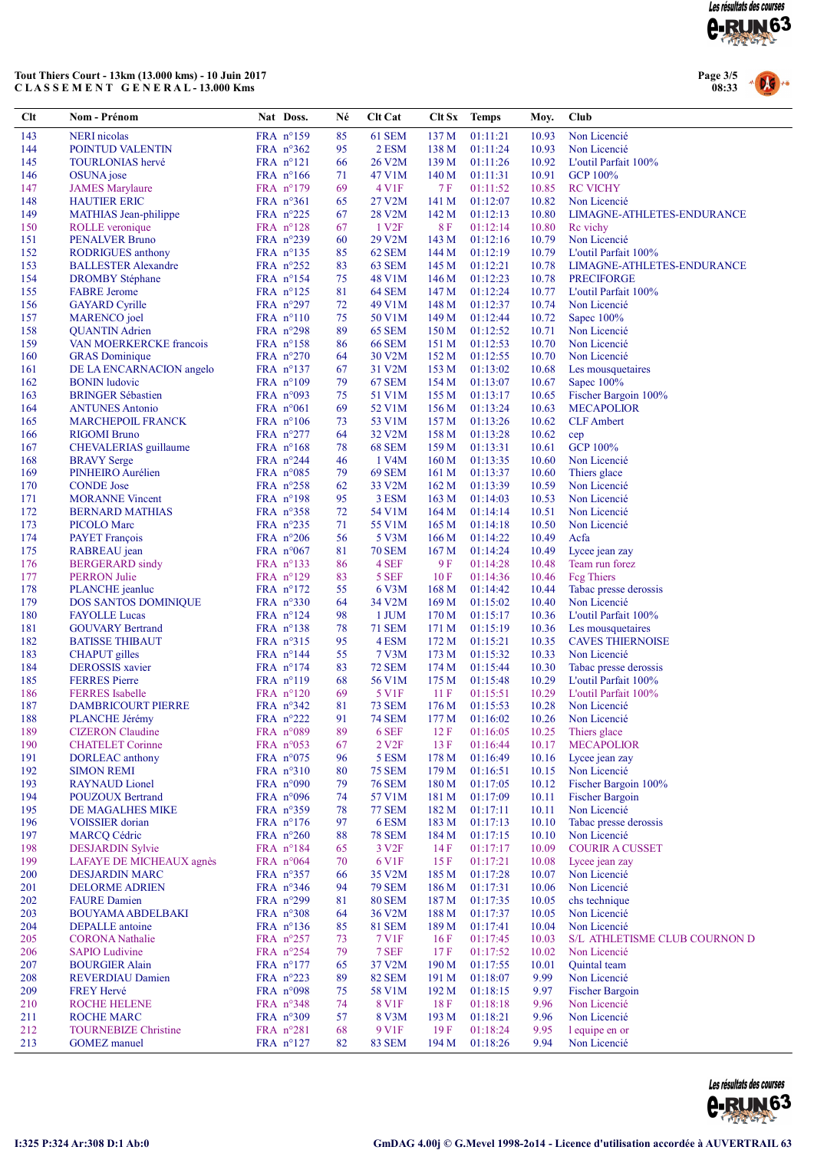

# Tout Thiers Court - 13km (13.000 kms) - 10 Juin 2017<br>CLASSEMENT GENERAL-13.000 Kms



| Clt        | Nom - Prénom                                        | Nat Doss.                                 | Né       | <b>Clt Cat</b>          | Clt Sx                    | <b>Temps</b>         | Moy.           | Club                                 |
|------------|-----------------------------------------------------|-------------------------------------------|----------|-------------------------|---------------------------|----------------------|----------------|--------------------------------------|
| 143        | <b>NERI</b> nicolas                                 | FRA $n^{\circ}159$                        | 85       | 61 SEM                  | 137 <sub>M</sub>          | 01:11:21             | 10.93          | Non Licencié                         |
| 144        | POINTUD VALENTIN                                    | FRA n°362                                 | 95       | 2 ESM                   | 138 M                     | 01:11:24             | 10.93          | Non Licencié                         |
| 145        | <b>TOURLONIAS</b> hervé                             | $FRA$ $n^{\circ}121$                      | 66       | 26 V2M                  | 139 M                     | 01:11:26             | 10.92          | L'outil Parfait 100%                 |
| 146        | OSUNA jose                                          | FRA $n^{\circ}166$                        | 71       | 47 V1M                  | 140 <sub>M</sub>          | 01:11:31             | 10.91          | <b>GCP 100%</b>                      |
| 147        | <b>JAMES Marylaure</b>                              | FRA $n^{\circ}179$                        | 69       | 4 V <sub>1F</sub>       | 7 F                       | 01:11:52             | 10.85          | <b>RC VICHY</b>                      |
| 148        | <b>HAUTIER ERIC</b>                                 | FRA $n^{\circ}361$                        | 65       | 27 V2M                  | 141 M                     | 01:12:07             | 10.82          | Non Licencié                         |
| 149        | <b>MATHIAS</b> Jean-philippe                        | FRA $n^{\circ}225$                        | 67       | 28 V2M                  | 142 M                     | 01:12:13             | 10.80          | LIMAGNE-ATHLETES-ENDURANCE           |
| 150        | ROLLE veronique                                     | FRA $n^{\circ}128$                        | 67       | 1 V <sub>2F</sub>       | 8 F                       | 01:12:14             | 10.80          | Re vichy                             |
| 151        | <b>PENALVER Bruno</b>                               | FRA $n^{\circ}239$                        | 60       | 29 V2M                  | 143M                      | 01:12:16             | 10.79          | Non Licencié                         |
| 152        | <b>RODRIGUES</b> anthony                            | FRA $n^{\circ}$ 135                       | 85       | 62 SEM                  | 144 M                     | 01:12:19             | 10.79          | L'outil Parfait 100%                 |
| 153        | <b>BALLESTER Alexandre</b>                          | FRA n°252                                 | 83       | 63 SEM                  | 145 M                     | 01:12:21             | 10.78          | LIMAGNE-ATHLETES-ENDURANCE           |
| 154        | <b>DROMBY Stéphane</b>                              | FRA $n^{\circ}154$                        | 75       | 48 V1M                  | 146 M                     | 01:12:23             | 10.78          | <b>PRECIFORGE</b>                    |
| 155<br>156 | <b>FABRE</b> Jerome<br><b>GAYARD</b> Cyrille        | FRA $n^{\circ}$ 125<br>FRA $n^{\circ}297$ | 81<br>72 | 64 SEM<br>49 V1M        | 147 M<br>148 M            | 01:12:24<br>01:12:37 | 10.77<br>10.74 | L'outil Parfait 100%<br>Non Licencié |
| 157        | <b>MARENCO</b> joel                                 | FRA $n^{\circ}110$                        | 75       | 50 V1M                  | 149 M                     | 01:12:44             | 10.72          | Sapec $100\%$                        |
| 158        | <b>QUANTIN</b> Adrien                               | FRA $n^{\circ}298$                        | 89       | <b>65 SEM</b>           | 150 M                     | 01:12:52             | 10.71          | Non Licencié                         |
| 159        | VAN MOERKERCKE francois                             | FRA $n^{\circ}158$                        | 86       | <b>66 SEM</b>           | 151 M                     | 01:12:53             | 10.70          | Non Licencié                         |
| 160        | <b>GRAS</b> Dominique                               | FRA $n^{\circ}270$                        | 64       | 30 V2M                  | 152M                      | 01:12:55             | 10.70          | Non Licencié                         |
| 161        | DE LA ENCARNACION angelo                            | FRA $n^{\circ}$ 137                       | 67       | 31 V2M                  | 153 M                     | 01:13:02             | 10.68          | Les mousquetaires                    |
| 162        | <b>BONIN</b> ludovic                                | FRA $n^{\circ}109$                        | 79       | <b>67 SEM</b>           | 154 M                     | 01:13:07             | 10.67          | Sapec 100%                           |
| 163        | <b>BRINGER Sébastien</b>                            | FRA n°093                                 | 75       | 51 V1M                  | 155 M                     | 01:13:17             | 10.65          | Fischer Bargoin 100%                 |
| 164        | <b>ANTUNES Antonio</b>                              | FRA $n^{\circ}061$                        | 69       | 52 V1M                  | 156 M                     | 01:13:24             | 10.63          | <b>MECAPOLIOR</b>                    |
| 165        | <b>MARCHEPOIL FRANCK</b>                            | FRA $n^{\circ}106$                        | 73       | 53 V1M                  | 157 M                     | 01:13:26             | 10.62          | <b>CLF</b> Ambert                    |
| 166        | <b>RIGOMI</b> Bruno                                 | FRA $n^{\circ}277$                        | 64       | 32 V2M                  | 158 M                     | 01:13:28             | 10.62          | cep                                  |
| 167        | CHEVALERIAS guillaume                               | FRA $n^{\circ}168$                        | 78       | 68 SEM                  | 159M                      | 01:13:31             | 10.61          | <b>GCP 100%</b>                      |
| 168        | <b>BRAVY</b> Serge                                  | FRA $n^{\circ}244$                        | 46       | 1 V4M                   | 160 M                     | 01:13:35             | 10.60          | Non Licencié                         |
| 169        | PINHEIRO Aurélien                                   | FRA $n^{\circ}085$                        | 79       | 69 SEM                  | 161 M                     | 01:13:37             | 10.60          | Thiers glace                         |
| 170        | <b>CONDE</b> Jose                                   | FRA n°258                                 | 62       | 33 V2M                  | 162 M                     | 01:13:39             | 10.59          | Non Licencié                         |
| 171        | <b>MORANNE Vincent</b>                              | FRA $n^{\circ}198$                        | 95       | 3 ESM                   | 163 <sub>M</sub>          | 01:14:03             | 10.53          | Non Licencié                         |
| 172<br>173 | <b>BERNARD MATHIAS</b>                              | FRA $n^{\circ}358$                        | 72       | 54 V1M                  | 164M                      | 01:14:14             | 10.51          | Non Licencié                         |
| 174        | <b>PICOLO</b> Marc<br><b>PAYET</b> François         | FRA $n^{\circ}235$<br>FRA $n^{\circ}206$  | 71<br>56 | 55 V1M<br>5 V3M         | 165 <sub>M</sub>          | 01:14:18<br>01:14:22 | 10.50<br>10.49 | Non Licencié<br>Acfa                 |
| 175        | RABREAU jean                                        | FRA $n^{\circ}067$                        | 81       | <b>70 SEM</b>           | 166 M<br>167 <sub>M</sub> | 01:14:24             | 10.49          | Lycee jean zay                       |
| 176        | <b>BERGERARD</b> sindy                              | FRA $n^{\circ}$ 133                       | 86       | 4 SEF                   | 9 F                       | 01:14:28             | 10.48          | Team run forez                       |
| 177        | <b>PERRON Julie</b>                                 | FRA $n^{\circ}129$                        | 83       | 5 SEF                   | 10 F                      | 01:14:36             | 10.46          | Feg Thiers                           |
| 178        | PLANCHE jeanluc                                     | FRA $n^{\circ}172$                        | 55       | 6 V3M                   | 168 <sub>M</sub>          | 01:14:42             | 10.44          | Tabac presse derossis                |
| 179        | DOS SANTOS DOMINIQUE                                | FRA $n^{\circ}330$                        | 64       | 34 V2M                  | 169M                      | 01:15:02             | 10.40          | Non Licencié                         |
| 180        | <b>FAYOLLE Lucas</b>                                | FRA n°124                                 | 98       | 1 JUM                   | 170 M                     | 01:15:17             | 10.36          | L'outil Parfait 100%                 |
| 181        | <b>GOUVARY Bertrand</b>                             | FRA $n^{\circ}$ 138                       | 78       | 71 SEM                  | 171 M                     | 01:15:19             | 10.36          | Les mousquetaires                    |
| 182        | <b>BATISSE THIBAUT</b>                              | FRA $n^{\circ}315$                        | 95       | 4 ESM                   | 172 M                     | 01:15:21             | 10.35          | <b>CAVES THIERNOISE</b>              |
| 183        | <b>CHAPUT</b> gilles                                | FRA $n^{\circ}$ 144                       | 55       | 7 V3M                   | 173 M                     | 01:15:32             | 10.33          | Non Licencié                         |
| 184        | <b>DEROSSIS</b> xavier                              | FRA $n^{\circ}174$                        | 83       | <b>72 SEM</b>           | 174 M                     | 01:15:44             | 10.30          | Tabac presse derossis                |
| 185        | <b>FERRES</b> Pierre                                | $FRA$ $n^{\circ}119$                      | 68       | 56 V1M                  | 175 M                     | 01:15:48             | 10.29          | L'outil Parfait 100%                 |
| 186<br>187 | <b>FERRES</b> Isabelle<br><b>DAMBRICOURT PIERRE</b> | FRA $n^{\circ}120$<br>FRA n°342           | 69<br>81 | 5 V1F<br><b>73 SEM</b>  | 11F                       | 01:15:51<br>01:15:53 | 10.29<br>10.28 | L'outil Parfait 100%<br>Non Licencié |
| 188        | PLANCHE Jérémy                                      | FRA n°222                                 | 91       | <b>74 SEM</b>           | 176 M                     | 177 M 01:16:02       |                | 10.26 Non Licencié                   |
| 189        | <b>CIZERON</b> Claudine                             | FRA n°089                                 | 89       | 6 SEF                   | 12F                       | 01:16:05             | 10.25          | Thiers glace                         |
| 190        | <b>CHATELET Corinne</b>                             | FRA $n^{\circ}053$                        | 67       | 2 V <sub>2F</sub>       | 13F                       | 01:16:44             | 10.17          | <b>MECAPOLIOR</b>                    |
| 191        | DORLEAC anthony                                     | FRA $n^{\circ}075$                        | 96       | 5 ESM                   | 178 M                     | 01:16:49             | 10.16          | Lycee jean zay                       |
| 192        | <b>SIMON REMI</b>                                   | FRA n°310                                 | 80       | <b>75 SEM</b>           | 179 M                     | 01:16:51             | 10.15          | Non Licencié                         |
| 193        | <b>RAYNAUD</b> Lionel                               | FRA $n°090$                               | 79       | <b>76 SEM</b>           | 180 M                     | 01:17:05             | 10.12          | Fischer Bargoin 100%                 |
| 194        | <b>POUZOUX Bertrand</b>                             | FRA $n^{\circ}096$                        | 74       | 57 V1M                  | 181 M                     | 01:17:09             | 10.11          | <b>Fischer Bargoin</b>               |
| 195        | DE MAGALHES MIKE                                    | FRA n°359                                 | 78       | <b>77 SEM</b>           | 182 M                     | 01:17:11             | 10.11          | Non Licencié                         |
| 196        | <b>VOISSIER</b> dorian                              | FRA $n^{\circ}176$                        | 97       | 6ESM                    | 183 M                     | 01:17:13             | 10.10          | Tabac presse derossis                |
| 197        | <b>MARCQ Cédric</b>                                 | FRA $n^{\circ}260$                        | 88       | <b>78 SEM</b>           | 184 M                     | 01:17:15             | 10.10          | Non Licencié                         |
| 198        | <b>DESJARDIN Sylvie</b>                             | FRA $n^{\circ}184$                        | 65       | 3 V <sub>2F</sub>       | 14F                       | 01:17:17             | 10.09          | <b>COURIR A CUSSET</b>               |
| 199        | LAFAYE DE MICHEAUX agnès                            | FRA $n^{\circ}064$                        | 70       | 6 V1F                   | 15F                       | 01:17:21             | 10.08          | Lycee jean zay                       |
| 200        | <b>DESJARDIN MARC</b>                               | FRA $n^{\circ}357$                        | 66       | 35 V2M                  | 185 M                     | 01:17:28             | 10.07          | Non Licencié                         |
| 201        | <b>DELORME ADRIEN</b>                               | FRA $n^{\circ}346$                        | 94       | <b>79 SEM</b>           | 186 M                     | 01:17:31             | 10.06          | Non Licencié                         |
| 202        | <b>FAURE</b> Damien                                 | FRA $n^{\circ}299$                        | 81       | <b>80 SEM</b>           | 187 M                     | 01:17:35             | 10.05          | chs technique                        |
| 203<br>204 | <b>BOUYAMA ABDELBAKI</b><br><b>DEPALLE</b> antoine  | FRA $n^{\circ}308$<br>FRA $n^{\circ}$ 136 | 64<br>85 | 36 V2M<br><b>81 SEM</b> | 188 M<br>189 M            | 01:17:37<br>01:17:41 | 10.05<br>10.04 | Non Licencié<br>Non Licencié         |
| 205        | <b>CORONA</b> Nathalie                              | FRA $n^{\circ}257$                        | 73       | 7 V1F                   | 16F                       | 01:17:45             | 10.03          | S/L ATHLETISME CLUB COURNON D        |
| 206        | <b>SAPIO</b> Ludivine                               | FRA $n^{\circ}254$                        | 79       | 7 SEF                   | 17 F                      | 01:17:52             | 10.02          | Non Licencié                         |
| 207        | <b>BOURGIER Alain</b>                               | FRA $n^{\circ}177$                        | 65       | 37 V2M                  | 190 <sub>M</sub>          | 01:17:55             | 10.01          | Quintal team                         |
| 208        | <b>REVERDIAU Damien</b>                             | FRA $n^{\circ}223$                        | 89       | <b>82 SEM</b>           | 191 M                     | 01:18:07             | 9.99           | Non Licencié                         |
| 209        | <b>FREY Hervé</b>                                   | FRA $n°098$                               | 75       | 58 V1M                  | 192 M                     | 01:18:15             | 9.97           | <b>Fischer Bargoin</b>               |
| 210        | <b>ROCHE HELENE</b>                                 | FRA $n^{\circ}348$                        | 74       | 8 V1F                   | 18F                       | 01:18:18             | 9.96           | Non Licencié                         |
| 211        | <b>ROCHE MARC</b>                                   | FRA $n^{\circ}309$                        | 57       | 8 V3M                   | 193 M                     | 01:18:21             | 9.96           | Non Licencié                         |
| 212        | <b>TOURNEBIZE Christine</b>                         | FRA $n^{\circ}281$                        | 68       | 9 V1F                   | 19F                       | 01:18:24             | 9.95           | l equipe en or                       |
| 213        | <b>GOMEZ</b> manuel                                 | FRA $n^{\circ}127$                        | 82       | <b>83 SEM</b>           | 194 M                     | 01:18:26             | 9.94           | Non Licencié                         |

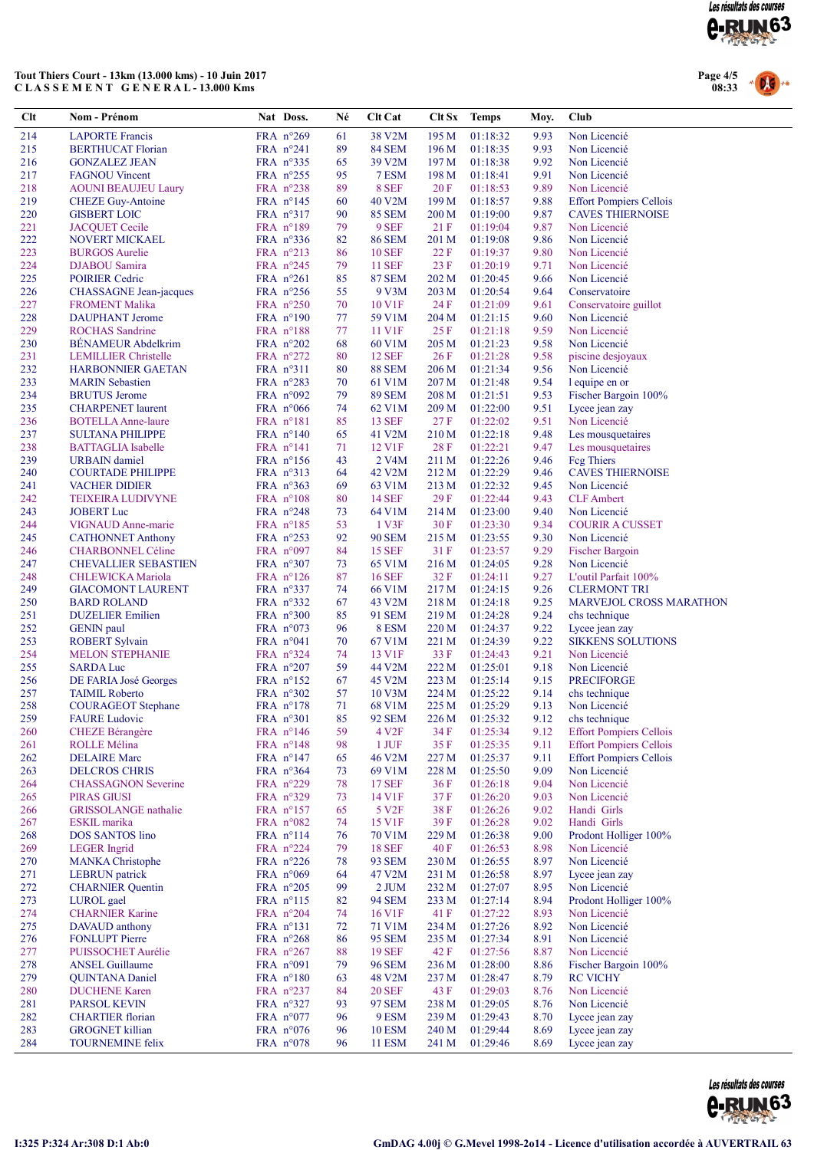

### Tout Thiers Court - 13km (13.000 kms) - 10 Juin 2017 C L A S S E M E N T G E N E R A L - 13.000 Kms



| Clt        | <b>Nom - Prénom</b>                                  | Nat Doss.                                  | Né       | <b>Clt Cat</b>                 | Clt Sx           | <b>Temps</b>         | Moy.         | Club                                       |
|------------|------------------------------------------------------|--------------------------------------------|----------|--------------------------------|------------------|----------------------|--------------|--------------------------------------------|
| 214        | <b>LAPORTE Francis</b>                               | FRA n°269                                  | 61       | 38 V2M                         | 195 M            | 01:18:32             | 9.93         | Non Licencié                               |
| 215        | <b>BERTHUCAT Florian</b>                             | FRA $n^{\circ}241$                         | 89       | <b>84 SEM</b>                  | 196 M            | 01:18:35             | 9.93         | Non Licencié                               |
| 216        | <b>GONZALEZ JEAN</b>                                 | FRA $n^{\circ}335$                         | 65       | 39 V2M                         | 197 M            | 01:18:38             | 9.92         | Non Licencié                               |
| 217        | <b>FAGNOU Vincent</b>                                | FRA $n^{\circ}255$                         | 95       | 7 ESM                          | 198 <sub>M</sub> | 01:18:41             | 9.91         | Non Licencié                               |
| 218        | <b>AOUNI BEAUJEU Laury</b>                           | FRA $n^{\circ}238$                         | 89       | 8 SEF                          | 20 F             | 01:18:53             | 9.89         | Non Licencié                               |
| 219        | <b>CHEZE Guy-Antoine</b>                             | FRA $n^{\circ}$ 145                        | 60       | 40 V <sub>2</sub> M            | 199 <sub>M</sub> | 01:18:57             | 9.88         | <b>Effort Pompiers Cellois</b>             |
| 220        | <b>GISBERT LOIC</b>                                  | $FRA$ n°317                                | 90       | <b>85 SEM</b>                  | 200 M            | 01:19:00             | 9.87         | <b>CAVES THIERNOISE</b>                    |
| 221<br>222 | <b>JACQUET</b> Cecile<br>NOVERT MICKAEL              | FRA $n^{\circ}189$                         | 79<br>82 | 9 SEF<br><b>86 SEM</b>         | 21 F<br>201 M    | 01:19:04             | 9.87<br>9.86 | Non Licencié<br>Non Licencié               |
| 223        | <b>BURGOS</b> Aurelie                                | FRA $n^{\circ}336$<br>FRA $n^{\circ}213$   | 86       | <b>10 SEF</b>                  | 22 F             | 01:19:08<br>01:19:37 | 9.80         | Non Licencié                               |
| 224        | DJABOU Samira                                        | FRA $n^{\circ}245$                         | 79       | <b>11 SEF</b>                  | 23 F             | 01:20:19             | 9.71         | Non Licencié                               |
| 225        | <b>POIRIER Cedric</b>                                | FRA n°261                                  | 85       | <b>87 SEM</b>                  | 202 M            | 01:20:45             | 9.66         | Non Licencié                               |
| 226        | <b>CHASSAGNE</b> Jean-jacques                        | FRA $n^{\circ}256$                         | 55       | 9 V3M                          | 203 M            | 01:20:54             | 9.64         | Conservatoire                              |
| 227        | <b>FROMENT Malika</b>                                | FRA $n^{\circ}250$                         | 70       | 10 V1F                         | 24 F             | 01:21:09             | 9.61         | Conservatoire guillot                      |
| 228        | <b>DAUPHANT</b> Jerome                               | FRA $n^{\circ}190$                         | 77       | 59 V1M                         | 204 M            | 01:21:15             | 9.60         | Non Licencié                               |
| 229        | <b>ROCHAS</b> Sandrine                               | FRA $n^{\circ}188$                         | 77       | 11 V1F                         | 25 F             | 01:21:18             | 9.59         | Non Licencié                               |
| 230        | <b>BENAMEUR Abdelkrim</b>                            | FRA $n^{\circ}202$                         | 68       | 60 V1M                         | 205 M            | 01:21:23             | 9.58         | Non Licencié                               |
| 231        | <b>LEMILLIER Christelle</b>                          | FRA $n^{\circ}272$                         | 80       | <b>12 SEF</b>                  | 26 F             | 01:21:28             | 9.58         | piscine desjoyaux                          |
| 232        | <b>HARBONNIER GAETAN</b>                             | FRA $n^{\circ}311$                         | 80       | <b>88 SEM</b>                  | 206 M            | 01:21:34             | 9.56         | Non Licencié                               |
| 233        | <b>MARIN</b> Sebastien                               | FRA $n^{\circ}283$                         | 70       | 61 V1M                         | 207 M            | 01:21:48             | 9.54         | l equipe en or                             |
| 234        | <b>BRUTUS</b> Jerome                                 | FRA $n^{\circ}092$                         | 79       | <b>89 SEM</b>                  | 208 M            | 01:21:51             | 9.53         | Fischer Bargoin 100%                       |
| 235        | <b>CHARPENET</b> laurent                             | FRA $n^{\circ}066$                         | 74       | 62 V1M                         | 209 M            | 01:22:00             | 9.51         | Lycee jean zay                             |
| 236<br>237 | <b>BOTELLA Anne-laure</b>                            | $FRA$ n°181                                | 85<br>65 | <b>13 SEF</b>                  | 27 F             | 01:22:02<br>01:22:18 | 9.51<br>9.48 | Non Licencié<br>Les mousquetaires          |
| 238        | <b>SULTANA PHILIPPE</b><br><b>BATTAGLIA</b> Isabelle | FRA $n^{\circ}140$<br>FRA $n^{\circ}141$   | 71       | 41 V2M<br>12 V1F               | 210 M<br>28 F    | 01:22:21             | 9.47         | Les mousquetaires                          |
| 239        | <b>URBAIN</b> damiel                                 | FRA $n^{\circ}156$                         | 43       | 2 V <sub>4</sub> M             | 211 M            | 01:22:26             | 9.46         | <b>Feg Thiers</b>                          |
| 240        | <b>COURTADE PHILIPPE</b>                             | FRA $n^{\circ}313$                         | 64       | 42 V <sub>2</sub> M            | 212 M            | 01:22:29             | 9.46         | <b>CAVES THIERNOISE</b>                    |
| 241        | <b>VACHER DIDIER</b>                                 | FRA $n^{\circ}363$                         | 69       | 63 V1M                         | 213 M            | 01:22:32             | 9.45         | Non Licencié                               |
| 242        | TEIXEIRA LUDIVYNE                                    | FRA $n^{\circ}108$                         | 80       | 14 SEF                         | 29F              | 01:22:44             | 9.43         | <b>CLF</b> Ambert                          |
| 243        | <b>JOBERT</b> Luc                                    | FRA $n^{\circ}248$                         | 73       | 64 V <sub>1</sub> M            | 214 M            | 01:23:00             | 9.40         | Non Licencié                               |
| 244        | VIGNAUD Anne-marie                                   | FRA $n^{\circ}185$                         | 53       | 1 V3F                          | 30F              | 01:23:30             | 9.34         | <b>COURIR A CUSSET</b>                     |
| 245        | <b>CATHONNET Anthony</b>                             | FRA $n^{\circ}253$                         | 92       | <b>90 SEM</b>                  | 215 M            | 01:23:55             | 9.30         | Non Licencié                               |
| 246        | <b>CHARBONNEL Céline</b>                             | FRA $n^{\circ}097$                         | 84       | <b>15 SEF</b>                  | 31 F             | 01:23:57             | 9.29         | <b>Fischer Bargoin</b>                     |
| 247        | <b>CHEVALLIER SEBASTIEN</b>                          | FRA $n^{\circ}307$                         | 73       | 65 V1M                         | 216 M            | 01:24:05             | 9.28         | Non Licencié                               |
| 248        | CHLEWICKA Mariola                                    | FRA $n^{\circ}126$                         | 87       | <b>16 SEF</b>                  | 32 F             | 01:24:11             | 9.27         | L'outil Parfait 100%                       |
| 249        | <b>GIACOMONT LAURENT</b>                             | FRA $n^{\circ}337$                         | 74       | 66 V <sub>1</sub> M            | 217 M            | 01:24:15             | 9.26         | <b>CLERMONT TRI</b>                        |
| 250        | <b>BARD ROLAND</b>                                   | FRA $n^{\circ}332$                         | 67       | 43 V2M                         | 218 M            | 01:24:18             | 9.25         | <b>MARVEJOL CROSS MARATHON</b>             |
| 251        | <b>DUZELIER</b> Emilien                              | FRA $n^{\circ}300$                         | 85       | 91 SEM                         | 219 M            | 01:24:28             | 9.24         | chs technique                              |
| 252<br>253 | <b>GENIN</b> paul<br><b>ROBERT Sylvain</b>           | FRA $n^{\circ}073$<br>FRA n°041            | 96<br>70 | 8 ESM<br>67 V1M                | 220 M<br>221 M   | 01:24:37<br>01:24:39 | 9.22<br>9.22 | Lycee jean zay<br><b>SIKKENS SOLUTIONS</b> |
| 254        | <b>MELON STEPHANIE</b>                               | FRA $n^{\circ}324$                         | 74       | 13 V1F                         | 33 F             | 01:24:43             | 9.21         | Non Licencié                               |
| 255        | <b>SARDA Luc</b>                                     | FRA $n^{\circ}207$                         | 59       | 44 V2M                         | 222 M            | 01:25:01             | 9.18         | Non Licencié                               |
| 256        | DE FARIA José Georges                                | $FRA$ n°152                                | 67       | 45 V2M                         | 223 M            | 01:25:14             | 9.15         | <b>PRECIFORGE</b>                          |
| 257        | <b>TAIMIL Roberto</b>                                | FRA $n^{\circ}302$                         | 57       | 10 V3M                         | 224 M            | 01:25:22             | 9.14         | chs technique                              |
| 258        | <b>COURAGEOT</b> Stephane                            | FRA $n^{\circ}178$                         | 71       | 68 V1M                         | 225 M            | 01:25:29             | 9.13         | Non Licencié                               |
| 259        | <b>FAURE Ludovic</b>                                 | FRA n°301                                  | 85       | <b>92 SEM</b>                  |                  | 226 M 01:25:32       | 9.12         | chs technique                              |
| 260        | <b>CHEZE Bérangère</b>                               | FRA n°146                                  | 59       | 4 V <sub>2F</sub>              | 34 F             | 01:25:34             | 9.12         | <b>Effort Pompiers Cellois</b>             |
| 261        | ROLLE Mélina                                         | FRA $n^{\circ}148$                         | 98       | $1$ JUF                        | 35 F             | 01:25:35             | 9.11         | <b>Effort Pompiers Cellois</b>             |
| 262        | <b>DELAIRE</b> Marc                                  | FRA $n^{\circ}147$                         | 65       | 46 V2M                         | 227 M            | 01:25:37             | 9.11         | <b>Effort Pompiers Cellois</b>             |
| 263        | <b>DELCROS CHRIS</b>                                 | FRA $n^{\circ}364$                         | 73       | 69 V1M                         | 228 M            | 01:25:50             | 9.09         | Non Licencié                               |
| 264        | <b>CHASSAGNON Severine</b>                           | FRA $n^{\circ}229$                         | 78       | 17 SEF                         | 36F              | 01:26:18             | 9.04         | Non Licencié                               |
| 265        | <b>PIRAS GIUSI</b>                                   | FRA $n^{\circ}329$                         | 73       | 14 V1F                         | 37 F             | 01:26:20             | 9.03         | Non Licencié                               |
| 266        | <b>GRISSOLANGE</b> nathalie<br><b>ESKIL</b> marika   | FRA $n^{\circ}157$                         | 65       | 5 V <sub>2F</sub><br>15 V1F    | 38 F             | 01:26:26             | 9.02         | Handi Girls                                |
| 267<br>268 | <b>DOS SANTOS lino</b>                               | FRA $n^{\circ}082$<br>$FRA$ $n^{\circ}114$ | 74<br>76 | 70 V1M                         | 39F<br>229 M     | 01:26:28<br>01:26:38 | 9.02<br>9.00 | Handi Girls<br>Prodont Holliger 100%       |
| 269        | <b>LEGER</b> Ingrid                                  | FRA $n^{\circ}224$                         | 79       | <b>18 SEF</b>                  | 40 F             | 01:26:53             | 8.98         | Non Licencié                               |
| 270        | <b>MANKA</b> Christophe                              | FRA $n^{\circ}226$                         | 78       | 93 SEM                         | 230 M            | 01:26:55             | 8.97         | Non Licencié                               |
| 271        | <b>LEBRUN</b> patrick                                | FRA $n^{\circ}069$                         | 64       | 47 V2M                         | 231 M            | 01:26:58             | 8.97         | Lycee jean zay                             |
| 272        | <b>CHARNIER</b> Quentin                              | FRA $n^{\circ}205$                         | 99       | $2$ JUM                        | 232 M            | 01:27:07             | 8.95         | Non Licencié                               |
| 273        | LUROL gael                                           | $FRA$ $n^{\circ}115$                       | 82       | 94 SEM                         | 233 M            | 01:27:14             | 8.94         | Prodont Holliger 100%                      |
| 274        | <b>CHARNIER Karine</b>                               | FRA $n^{\circ}204$                         | 74       | 16 V1F                         | 41 F             | 01:27:22             | 8.93         | Non Licencié                               |
| 275        | DAVAUD anthony                                       | $FRA$ n°131                                | 72       | 71 V1M                         | 234 M            | 01:27:26             | 8.92         | Non Licencié                               |
| 276        | <b>FONLUPT Pierre</b>                                | FRA $n^{\circ}268$                         | 86       | 95 SEM                         | 235 M            | 01:27:34             | 8.91         | Non Licencié                               |
| 277        | PUISSOCHET Aurélie                                   | FRA $n^{\circ}267$                         | 88       | 19 SEF                         | 42 F             | 01:27:56             | 8.87         | Non Licencié                               |
| 278        | <b>ANSEL Guillaume</b>                               | FRA $n^{\circ}091$                         | 79       | <b>96 SEM</b>                  | 236 M            | 01:28:00             | 8.86         | Fischer Bargoin 100%                       |
| 279        | <b>QUINTANA Daniel</b>                               | $FRA$ n°180                                | 63       | 48 V2M                         | 237 M            | 01:28:47             | 8.79         | <b>RC VICHY</b>                            |
| 280        | <b>DUCHENE Karen</b>                                 | FRA $n^{\circ}237$                         | 84       | 20 SEF                         | 43 F             | 01:29:03             | 8.76         | Non Licencié                               |
| 281        | <b>PARSOL KEVIN</b>                                  | FRA $n^{\circ}327$                         | 93       | 97 SEM                         | 238 M            | 01:29:05             | 8.76         | Non Licencié                               |
| 282        | <b>CHARTIER</b> florian                              | FRA $n^{\circ}077$                         | 96       | 9 ESM                          | 239 M            | 01:29:43             | 8.70         | Lycee jean zay                             |
| 283<br>284 | <b>GROGNET</b> killian<br><b>TOURNEMINE felix</b>    | FRA $n^{\circ}076$<br>FRA $n^{\circ}078$   | 96<br>96 | <b>10 ESM</b><br><b>11 ESM</b> | 240 M<br>241 M   | 01:29:44<br>01:29:46 | 8.69<br>8.69 | Lycee jean zay<br>Lycee jean zay           |
|            |                                                      |                                            |          |                                |                  |                      |              |                                            |